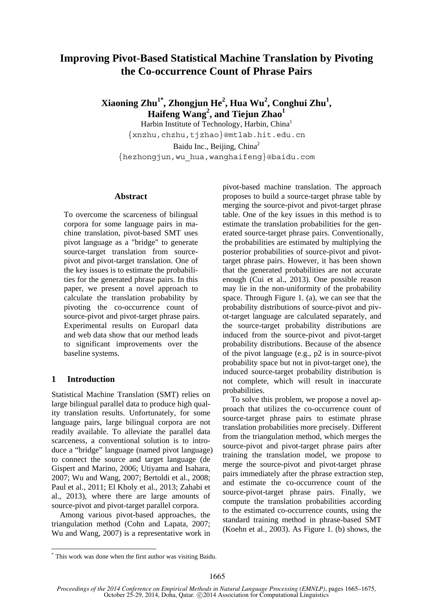# **Improving Pivot-Based Statistical Machine Translation by Pivoting the Co-occurrence Count of Phrase Pairs**

**Xiaoning Zhu1\*, Zhongjun He2 , Hua Wu<sup>2</sup> , Conghui Zhu<sup>1</sup> , Haifeng Wang2 , and Tiejun Zhao<sup>1</sup>**

Harbin Institute of Technology, Harbin, China1 {xnzhu,chzhu,tjzhao}@mtlab.hit.edu.cn Baidu Inc., Beijing, China<sup>2</sup> {hezhongjun,wu\_hua,wanghaifeng}@baidu.com

#### **Abstract**

To overcome the scarceness of bilingual corpora for some language pairs in machine translation, pivot-based SMT uses pivot language as a "bridge" to generate source-target translation from sourcepivot and pivot-target translation. One of the key issues is to estimate the probabilities for the generated phrase pairs. In this paper, we present a novel approach to calculate the translation probability by pivoting the co-occurrence count of source-pivot and pivot-target phrase pairs. Experimental results on Europarl data and web data show that our method leads to significant improvements over the baseline systems.

### **1 Introduction**

Statistical Machine Translation (SMT) relies on large bilingual parallel data to produce high quality translation results. Unfortunately, for some language pairs, large bilingual corpora are not readily available. To alleviate the parallel data scarceness, a conventional solution is to introduce a "bridge" language (named pivot language) to connect the source and target language (de Gispert and Marino, 2006; Utiyama and Isahara, 2007; Wu and Wang, 2007; Bertoldi et al., 2008; Paul et al., 2011; El Kholy et al., 2013; Zahabi et al., 2013), where there are large amounts of source-pivot and pivot-target parallel corpora.

Among various pivot-based approaches, the triangulation method (Cohn and Lapata, 2007; Wu and Wang, 2007) is a representative work in pivot-based machine translation. The approach proposes to build a source-target phrase table by merging the source-pivot and pivot-target phrase table. One of the key issues in this method is to estimate the translation probabilities for the generated source-target phrase pairs. Conventionally, the probabilities are estimated by multiplying the posterior probabilities of source-pivot and pivottarget phrase pairs. However, it has been shown that the generated probabilities are not accurate enough (Cui et al., 2013). One possible reason may lie in the non-uniformity of the probability space. Through Figure 1. (a), we can see that the probability distributions of source-pivot and pivot-target language are calculated separately, and the source-target probability distributions are induced from the source-pivot and pivot-target probability distributions. Because of the absence of the pivot language (e.g., p2 is in source-pivot probability space but not in pivot-target one), the induced source-target probability distribution is not complete, which will result in inaccurate probabilities.

To solve this problem, we propose a novel approach that utilizes the co-occurrence count of source-target phrase pairs to estimate phrase translation probabilities more precisely. Different from the triangulation method, which merges the source-pivot and pivot-target phrase pairs after training the translation model, we propose to merge the source-pivot and pivot-target phrase pairs immediately after the phrase extraction step, and estimate the co-occurrence count of the source-pivot-target phrase pairs. Finally, we compute the translation probabilities according to the estimated co-occurrence counts, using the standard training method in phrase-based SMT (Koehn et al., 2003). As Figure 1. (b) shows, the

<sup>\*</sup> This work was done when the first author was visiting Baidu.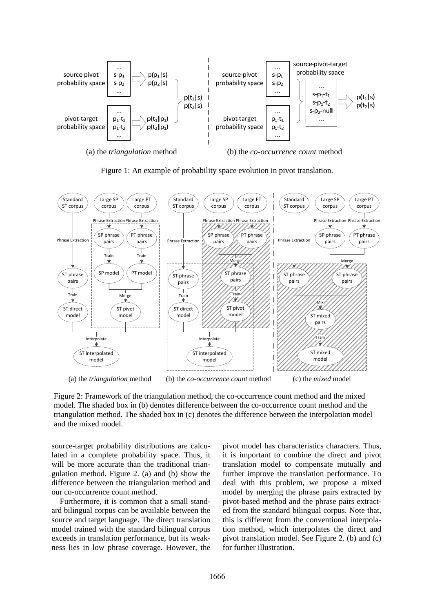

Figure 1: An example of probability space evolution in pivot translation.



Figure 2: Framework of the triangulation method, the co-occurrence count method and the mixed model. The shaded box in (b) denotes difference between the co-occurrence count method and the triangulation method. The shaded box in (c) denotes the difference between the interpolation model and the mixed model.

source-target probability distributions are calculated in a complete probability space. Thus, it will be more accurate than the traditional triangulation method. Figure 2. (a) and (b) show the difference between the triangulation method and our co-occurrence count method.

Furthermore, it is common that a small standard bilingual corpus can be available between the source and target language. The direct translation model trained with the standard bilingual corpus exceeds in translation performance, but its weakness lies in low phrase coverage. However, the pivot model has characteristics characters. Thus, it is important to combine the direct and pivot translation model to compensate mutually and further improve the translation performance. To deal with this problem, we propose a mixed model by merging the phrase pairs extracted by pivot-based method and the phrase pairs extracted from the standard bilingual corpus. Note that, this is different from the conventional interpolation method, which interpolates the direct and pivot translation model. See Figure 2. (b) and (c) for further illustration.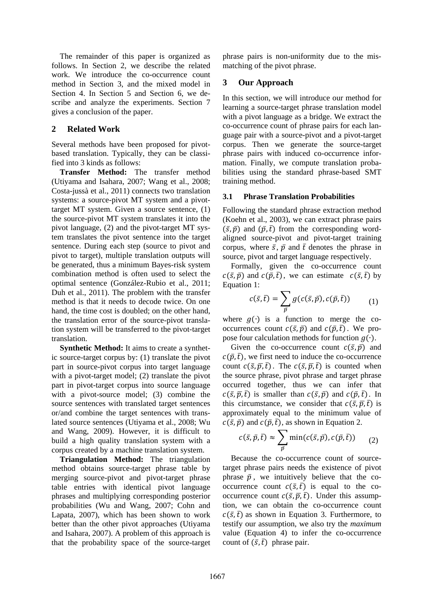The remainder of this paper is organized as follows. In Section 2, we describe the related work. We introduce the co-occurrence count method in Section 3, and the mixed model in Section 4. In Section 5 and Section 6, we describe and analyze the experiments. Section 7 gives a conclusion of the paper.

### **2 Related Work**

Several methods have been proposed for pivotbased translation. Typically, they can be classified into 3 kinds as follows:

**Transfer Method:** The transfer method (Utiyama and Isahara, 2007; Wang et al., 2008; Costa-jussà et al., 2011) connects two translation systems: a source-pivot MT system and a pivottarget MT system. Given a source sentence, (1) the source-pivot MT system translates it into the pivot language, (2) and the pivot-target MT system translates the pivot sentence into the target sentence. During each step (source to pivot and pivot to target), multiple translation outputs will be generated, thus a minimum Bayes-risk system combination method is often used to select the optimal sentence (González-Rubio et al., 2011; Duh et al., 2011). The problem with the transfer method is that it needs to decode twice. On one hand, the time cost is doubled; on the other hand, the translation error of the source-pivot translation system will be transferred to the pivot-target translation.

**Synthetic Method:** It aims to create a synthetic source-target corpus by: (1) translate the pivot part in source-pivot corpus into target language with a pivot-target model; (2) translate the pivot part in pivot-target corpus into source language with a pivot-source model; (3) combine the source sentences with translated target sentences or/and combine the target sentences with translated source sentences (Utiyama et al., 2008; Wu and Wang, 2009). However, it is difficult to build a high quality translation system with a corpus created by a machine translation system.

**Triangulation Method:** The triangulation method obtains source-target phrase table by merging source-pivot and pivot-target phrase table entries with identical pivot language phrases and multiplying corresponding posterior probabilities (Wu and Wang, 2007; Cohn and Lapata, 2007), which has been shown to work better than the other pivot approaches (Utiyama and Isahara, 2007). A problem of this approach is that the probability space of the source-target phrase pairs is non-uniformity due to the mismatching of the pivot phrase.

# **3 Our Approach**

In this section, we will introduce our method for learning a source-target phrase translation model with a pivot language as a bridge. We extract the co-occurrence count of phrase pairs for each language pair with a source-pivot and a pivot-target corpus. Then we generate the source-target phrase pairs with induced co-occurrence information. Finally, we compute translation probabilities using the standard phrase-based SMT training method.

### **3.1 Phrase Translation Probabilities**

Following the standard phrase extraction method (Koehn et al., 2003), we can extract phrase pairs  $(\bar{s}, \bar{p})$  and  $(\bar{p}, \bar{t})$  from the corresponding wordaligned source-pivot and pivot-target training corpus, where  $\bar{s}$ ,  $\bar{p}$  and  $\bar{t}$  denotes the phrase in source, pivot and target language respectively.

Formally, given the co-occurrence count  $c(\bar{s}, \bar{p})$  and  $c(\bar{p}, \bar{t})$ , we can estimate  $c(\bar{s}, \bar{t})$  by Equation 1:

$$
c(\bar{s},\bar{t}) = \sum_{\bar{p}} g(c(\bar{s},\bar{p}), c(\bar{p},\bar{t})) \qquad (1)
$$

where  $q(\cdot)$  is a function to merge the cooccurrences count  $c(\bar{s}, \bar{p})$  and  $c(\bar{p}, \bar{t})$ . We propose four calculation methods for function  $g(·)$ .

Given the co-occurrence count  $c(\bar{s}, \bar{p})$  and  $c(\bar{p}, \bar{t})$ , we first need to induce the co-occurrence count  $c(\bar{s}, \bar{p}, \bar{t})$ . The  $c(\bar{s}, \bar{p}, \bar{t})$  is counted when the source phrase, pivot phrase and target phrase occurred together, thus we can infer that  $c(\bar{s}, \bar{p}, \bar{t})$  is smaller than  $c(\bar{s}, \bar{p})$  and  $c(\bar{p}, \bar{t})$ . In this circumstance, we consider that  $c(\bar{s}, \bar{p}, \bar{t})$  is approximately equal to the minimum value of  $c(\bar{s}, \bar{p})$  and  $c(\bar{p}, \bar{t})$ , as shown in Equation 2.

$$
c(\bar{s}, \bar{p}, \bar{t}) \approx \sum_{\bar{p}} \min(c(\bar{s}, \bar{p}), c(\bar{p}, \bar{t})) \qquad (2)
$$

Because the co-occurrence count of sourcetarget phrase pairs needs the existence of pivot phrase  $\bar{p}$ , we intuitively believe that the cooccurrence count  $c(\bar{s}, \bar{t})$  is equal to the cooccurrence count  $c(\bar{s}, \bar{p}, t)$ . Under this assumption, we can obtain the co-occurrence count  $c(\bar{s}, \bar{t})$  as shown in Equation 3. Furthermore, to testify our assumption, we also try the *maximum* value (Equation 4) to infer the co-occurrence count of  $(\bar{s}, \bar{t})$  phrase pair.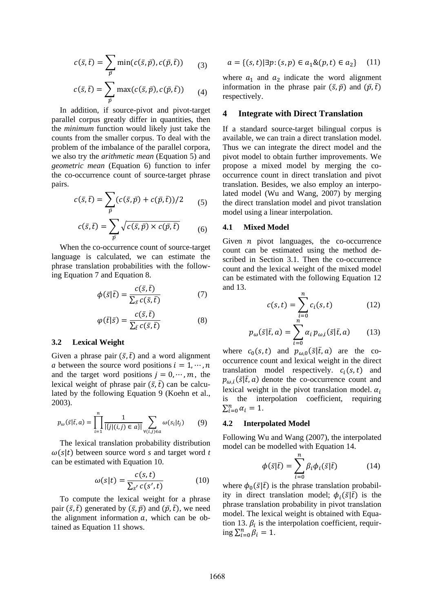$$
c(\bar{s}, \bar{t}) = \sum_{\bar{p}} \min(c(\bar{s}, \bar{p}), c(\bar{p}, \bar{t})) \qquad (3)
$$

$$
c(\bar{s},\bar{t}) = \sum_{\bar{p}} \max(c(\bar{s},\bar{p}), c(\bar{p},\bar{t})) \qquad (4)
$$

In addition, if source-pivot and pivot-target parallel corpus greatly differ in quantities, then the *minimum* function would likely just take the counts from the smaller corpus. To deal with the problem of the imbalance of the parallel corpora, we also try the *arithmetic mean* (Equation 5) and *geometric mean* (Equation 6) function to infer the co-occurrence count of source-target phrase pairs.

$$
c(\bar{s},\bar{t}) = \sum_{\bar{p}} (c(\bar{s},\bar{p}) + c(\bar{p},\bar{t}))/2 \qquad (5)
$$

$$
c(\bar{s}, \bar{t}) = \sum_{\bar{p}} \sqrt{c(\bar{s}, \bar{p}) \times c(\bar{p}, \bar{t})}
$$
 (6)

When the co-occurrence count of source-target language is calculated, we can estimate the phrase translation probabilities with the following Equation 7 and Equation 8.

$$
\phi(\bar{s}|\bar{t}) = \frac{c(\bar{s}, \bar{t})}{\sum_{\bar{s}} c(\bar{s}, \bar{t})}
$$
(7)

$$
\varphi(\bar{t}|\bar{s}) = \frac{c(\bar{s}, \bar{t})}{\sum_{\bar{t}} c(\bar{s}, \bar{t})}
$$
(8)

#### **3.2 Lexical Weight**

Given a phrase pair  $(\bar{s}, \bar{t})$  and a word alignment *a* between the source word positions  $i = 1, \dots, n$ and the target word positions  $j = 0, \dots, m$ , the lexical weight of phrase pair  $(\bar{s}, \bar{t})$  can be calculated by the following Equation 9 (Koehn et al., 2003).

$$
p_{\omega}(\bar{s}|\bar{t}, a) = \prod_{i=1}^{n} \frac{1}{|\{j|(i,j) \in a\}|} \sum_{\forall (i,j) \in a} \omega(s_i|t_j)
$$
(9)

The lexical translation probability distribution  $\omega(s|t)$  between source word *s* and target word *t* can be estimated with Equation 10.

$$
\omega(s|t) = \frac{c(s,t)}{\sum_{s'} c(s',t)}\tag{10}
$$

To compute the lexical weight for a phrase pair  $(\bar{s}, \bar{t})$  generated by  $(\bar{s}, \bar{p})$  and  $(\bar{p}, \bar{t})$ , we need the alignment information  $a$ , which can be obtained as Equation 11 shows.

$$
a = \{(s, t) | \exists p: (s, p) \in a_1 \& (p, t) \in a_2\} \quad (11)
$$

where  $a_1$  and  $a_2$  indicate the word alignment information in the phrase pair  $(\bar{s}, \bar{p})$  and  $(\bar{p}, \bar{t})$ respectively.

#### **4 Integrate with Direct Translation**

If a standard source-target bilingual corpus is available, we can train a direct translation model. Thus we can integrate the direct model and the pivot model to obtain further improvements. We propose a mixed model by merging the cooccurrence count in direct translation and pivot translation. Besides, we also employ an interpolated model (Wu and Wang, 2007) by merging the direct translation model and pivot translation model using a linear interpolation.

#### **4.1 Mixed Model**

Given  $n$  pivot languages, the co-occurrence count can be estimated using the method described in Section 3.1. Then the co-occurrence count and the lexical weight of the mixed model can be estimated with the following Equation 12 and 13.

$$
c(s,t) = \sum_{\substack{i=0 \ n}}^{n} c_i(s,t)
$$
 (12)

$$
p_{\omega}(\bar{s}|\bar{t}, a) = \sum_{i=0}^{N} \alpha_i p_{\omega, i}(\bar{s}|\bar{t}, a)
$$
 (13)

where  $c_0(s,t)$  and  $p_{\omega,0}(\bar{s}|\bar{t},a)$  are the cooccurrence count and lexical weight in the direct translation model respectively.  $c_i(s, t)$  and  $p_{\omega,i}(\bar{s}|\bar{t}, a)$  denote the co-occurrence count and lexical weight in the pivot translation model.  $\alpha_i$ is the interpolation coefficient, requiring  $\sum_{i=0}^n \alpha_i = 1.$ 

#### **4.2 Interpolated Model**

Following Wu and Wang (2007), the interpolated model can be modelled with Equation 14.

$$
\phi(\bar{s}|\bar{t}) = \sum_{i=0}^{n} \beta_i \phi_i(\bar{s}|\bar{t}) \tag{14}
$$

where  $\phi_0(\bar{s}|\bar{t})$  is the phrase translation probability in direct translation model;  $\phi_i(\bar{s}|\bar{t})$  is the phrase translation probability in pivot translation model. The lexical weight is obtained with Equation 13.  $\beta_i$  is the interpolation coefficient, requiring  $\sum_{i=0}^{n} \beta_i = 1$ .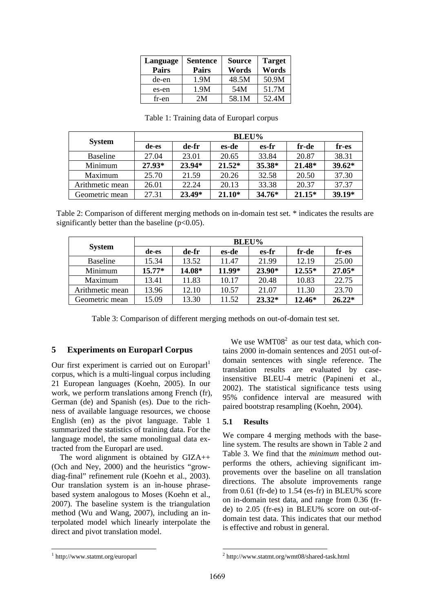| Language<br><b>Pairs</b> | <b>Sentence</b><br>Pairs | <b>Source</b><br>Words | <b>Target</b><br>Words |
|--------------------------|--------------------------|------------------------|------------------------|
| de-en                    | 1.9M                     | 48.5M                  | 50.9M                  |
| es-en                    | 1.9M                     | 54M                    | 51.7M                  |
| fr-en                    | 2M                       | 58.1M                  | 52.4M                  |

| <b>System</b>   | <b>BLEU%</b> |        |          |          |          |          |
|-----------------|--------------|--------|----------|----------|----------|----------|
|                 | de-es        | de-fr  | es-de    | es-fr    | fr-de    | fr-es    |
| <b>Baseline</b> | 27.04        | 23.01  | 20.65    | 33.84    | 20.87    | 38.31    |
| Minimum         | 27.93*       | 23.94* | $21.52*$ | 35.38*   | $21.48*$ | $39.62*$ |
| Maximum         | 25.70        | 21.59  | 20.26    | 32.58    | 20.50    | 37.30    |
| Arithmetic mean | 26.01        | 22.24  | 20.13    | 33.38    | 20.37    | 37.37    |
| Geometric mean  | 27.31        | 23.49* | $21.10*$ | $34.76*$ | $21.15*$ | 39.19*   |

Table 1: Training data of Europarl corpus

Table 2: Comparison of different merging methods on in-domain test set. \* indicates the results are significantly better than the baseline  $(p<0.05)$ .

| <b>System</b>   | <b>BLEU%</b> |        |        |          |          |          |
|-----------------|--------------|--------|--------|----------|----------|----------|
|                 | de-es        | de-fr  | es-de  | es-fr    | fr-de    | fr-es    |
| <b>Baseline</b> | 15.34        | 13.52  | 11.47  | 21.99    | 12.19    | 25.00    |
| Minimum         | $15.77*$     | 14.08* | 11.99* | $23.90*$ | $12.55*$ | 27.05*   |
| Maximum         | 13.41        | 11.83  | 10.17  | 20.48    | 10.83    | 22.75    |
| Arithmetic mean | 13.96        | 12.10  | 10.57  | 21.07    | 11.30    | 23.70    |
| Geometric mean  | 15.09        | 13.30  | 11.52  | $23.32*$ | 12.46*   | $26.22*$ |

Table 3: Comparison of different merging methods on out-of-domain test set.

### **5 Experiments on Europarl Corpus**

Our first experiment is carried out on Europarl<sup>1</sup> corpus, which is a multi-lingual corpus including 21 European languages (Koehn, 2005). In our work, we perform translations among French (fr), German (de) and Spanish (es). Due to the richness of available language resources, we choose English (en) as the pivot language. Table 1 summarized the statistics of training data. For the language model, the same monolingual data extracted from the Europarl are used.

The word alignment is obtained by GIZA++ (Och and Ney, 2000) and the heuristics "growdiag-final" refinement rule (Koehn et al., 2003). Our translation system is an in-house phrasebased system analogous to Moses (Koehn et al., 2007). The baseline system is the triangulation method (Wu and Wang, 2007), including an interpolated model which linearly interpolate the direct and pivot translation model.

We use  $WMT08<sup>2</sup>$  as our test data, which contains 2000 in-domain sentences and 2051 out-ofdomain sentences with single reference. The translation results are evaluated by caseinsensitive BLEU-4 metric (Papineni et al., 2002). The statistical significance tests using 95% confidence interval are measured with paired bootstrap resampling (Koehn, 2004).

#### **5.1 Results**

We compare 4 merging methods with the baseline system. The results are shown in Table 2 and Table 3. We find that the *minimum* method outperforms the others, achieving significant improvements over the baseline on all translation directions. The absolute improvements range from 0.61 (fr-de) to 1.54 (es-fr) in BLEU% score on in-domain test data, and range from 0.36 (frde) to 2.05 (fr-es) in BLEU% score on out-ofdomain test data. This indicates that our method is effective and robust in general.

<sup>1</sup> http://www.statmt.org/europarl

<sup>2</sup> http://www.statmt.org/wmt08/shared-task.html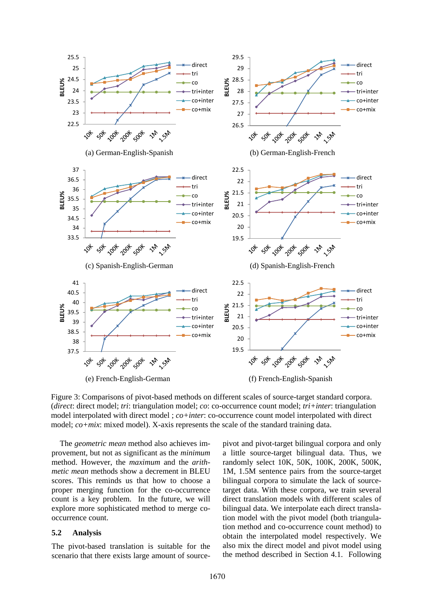

Figure 3: Comparisons of pivot-based methods on different scales of source-target standard corpora. (*direct*: direct model; *tri*: triangulation model; *co*: co-occurrence count model; *tri+inter*: triangulation model interpolated with direct model ; *co+inter*: co-occurrence count model interpolated with direct model; *co+mix*: mixed model). X-axis represents the scale of the standard training data.

The *geometric mean* method also achieves improvement, but not as significant as the *minimum* method. However, the *maximum* and the *arithmetic mean* methods show a decrement in BLEU scores. This reminds us that how to choose a proper merging function for the co-occurrence count is a key problem. In the future, we will explore more sophisticated method to merge cooccurrence count.

#### **5.2 Analysis**

The pivot-based translation is suitable for the scenario that there exists large amount of sourcepivot and pivot-target bilingual corpora and only a little source-target bilingual data. Thus, we randomly select 10K, 50K, 100K, 200K, 500K, 1M, 1.5M sentence pairs from the source-target bilingual corpora to simulate the lack of sourcetarget data. With these corpora, we train several direct translation models with different scales of bilingual data. We interpolate each direct translation model with the pivot model (both triangulation method and co-occurrence count method) to obtain the interpolated model respectively. We also mix the direct model and pivot model using the method described in Section 4.1. Following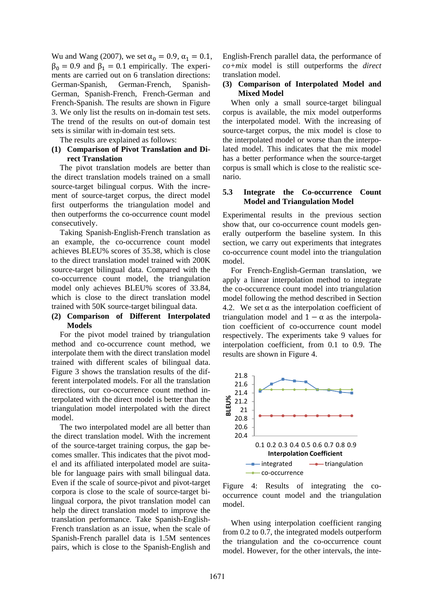Wu and Wang (2007), we set  $\alpha_0 = 0.9$ ,  $\alpha_1 = 0.1$ ,  $\beta_0 = 0.9$  and  $\beta_1 = 0.1$  empirically. The experiments are carried out on 6 translation directions: German-Spanish, German-French, Spanish-German, Spanish-French, French-German and French-Spanish. The results are shown in Figure 3. We only list the results on in-domain test sets. The trend of the results on out-of domain test sets is similar with in-domain test sets.

The results are explained as follows:

### **(1) Comparison of Pivot Translation and Direct Translation**

The pivot translation models are better than the direct translation models trained on a small source-target bilingual corpus. With the increment of source-target corpus, the direct model first outperforms the triangulation model and then outperforms the co-occurrence count model consecutively.

Taking Spanish-English-French translation as an example, the co-occurrence count model achieves BLEU% scores of 35.38, which is close to the direct translation model trained with 200K source-target bilingual data. Compared with the co-occurrence count model, the triangulation model only achieves BLEU% scores of 33.84, which is close to the direct translation model trained with 50K source-target bilingual data.

### **(2) Comparison of Different Interpolated Models**

For the pivot model trained by triangulation method and co-occurrence count method, we interpolate them with the direct translation model trained with different scales of bilingual data. Figure 3 shows the translation results of the different interpolated models. For all the translation directions, our co-occurrence count method interpolated with the direct model is better than the triangulation model interpolated with the direct model.

The two interpolated model are all better than the direct translation model. With the increment of the source-target training corpus, the gap becomes smaller. This indicates that the pivot model and its affiliated interpolated model are suitable for language pairs with small bilingual data. Even if the scale of source-pivot and pivot-target corpora is close to the scale of source-target bilingual corpora, the pivot translation model can help the direct translation model to improve the translation performance. Take Spanish-English-French translation as an issue, when the scale of Spanish-French parallel data is 1.5M sentences pairs, which is close to the Spanish-English and

English-French parallel data, the performance of *co+mix* model is still outperforms the *direct* translation model.

### **(3) Comparison of Interpolated Model and Mixed Model**

When only a small source-target bilingual corpus is available, the mix model outperforms the interpolated model. With the increasing of source-target corpus, the mix model is close to the interpolated model or worse than the interpolated model. This indicates that the mix model has a better performance when the source-target corpus is small which is close to the realistic scenario.

#### **5.3 Integrate the Co-occurrence Count Model and Triangulation Model**

Experimental results in the previous section show that, our co-occurrence count models generally outperform the baseline system. In this section, we carry out experiments that integrates co-occurrence count model into the triangulation model.

For French-English-German translation, we apply a linear interpolation method to integrate the co-occurrence count model into triangulation model following the method described in Section 4.2. We set  $\alpha$  as the interpolation coefficient of triangulation model and  $1 - \alpha$  as the interpolation coefficient of co-occurrence count model respectively. The experiments take 9 values for interpolation coefficient, from 0.1 to 0.9. The results are shown in Figure 4.



Figure 4: Results of integrating the cooccurrence count model and the triangulation model.

When using interpolation coefficient ranging from 0.2 to 0.7, the integrated models outperform the triangulation and the co-occurrence count model. However, for the other intervals, the inte-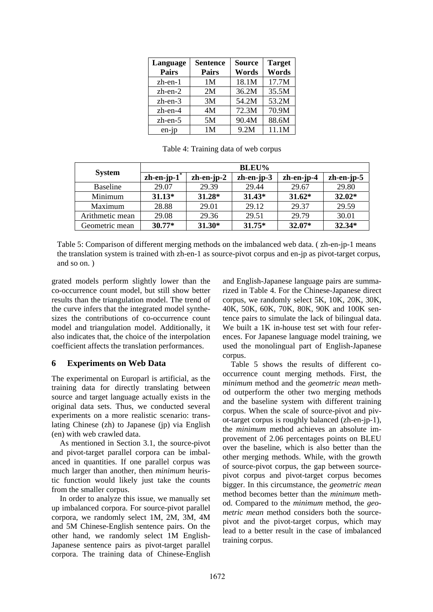| Language<br><b>Pairs</b> | <b>Sentence</b><br><b>Pairs</b> | <b>Source</b><br>Words | <b>Target</b><br>Words |
|--------------------------|---------------------------------|------------------------|------------------------|
| $zh$ -en- $1$            | 1 <sub>M</sub>                  | 18.1M                  | 17.7M                  |
| $zh$ -en- $2$            | 2M                              | 36.2M                  | 35.5M                  |
| zh-en-3                  | 3M                              | 54.2M                  | 53.2M                  |
| $zh$ -en-4               | 4M                              | 72.3M                  | 70.9M                  |
| $zh$ -en-5               | 5M                              | 90.4M                  | 88.6M                  |
| $en$ -jp                 | 1M                              | 9.2M                   | 11.1M                  |

Table 4: Training data of web corpus

|                 | <b>BLEU%</b>   |              |              |              |              |  |
|-----------------|----------------|--------------|--------------|--------------|--------------|--|
| <b>System</b>   | $zh-en-jp-1$ * | $zh-en-jp-2$ | $zh-en-ip-3$ | $zh-en-ip-4$ | $zh-en-jp-5$ |  |
| <b>Baseline</b> | 29.07          | 29.39        | 29.44        | 29.67        | 29.80        |  |
| Minimum         | $31.13*$       | 31.28*       | $31.43*$     | $31.62*$     | $32.02*$     |  |
| Maximum         | 28.88          | 29.01        | 29.12        | 29.37        | 29.59        |  |
| Arithmetic mean | 29.08          | 29.36        | 29.51        | 29.79        | 30.01        |  |
| Geometric mean  | $30.77*$       | $31.30*$     | $31.75*$     | 32.07*       | 32.34*       |  |

Table 5: Comparison of different merging methods on the imbalanced web data. ( zh-en-jp-1 means the translation system is trained with zh-en-1 as source-pivot corpus and en-jp as pivot-target corpus, and so on. )

grated models perform slightly lower than the co-occurrence count model, but still show better results than the triangulation model. The trend of the curve infers that the integrated model synthesizes the contributions of co-occurrence count model and triangulation model. Additionally, it also indicates that, the choice of the interpolation coefficient affects the translation performances.

## **6 Experiments on Web Data**

The experimental on Europarl is artificial, as the training data for directly translating between source and target language actually exists in the original data sets. Thus, we conducted several experiments on a more realistic scenario: translating Chinese (zh) to Japanese (jp) via English (en) with web crawled data.

As mentioned in Section 3.1, the source-pivot and pivot-target parallel corpora can be imbalanced in quantities. If one parallel corpus was much larger than another, then *minimum* heuristic function would likely just take the counts from the smaller corpus.

In order to analyze this issue, we manually set up imbalanced corpora. For source-pivot parallel corpora, we randomly select 1M, 2M, 3M, 4M and 5M Chinese-English sentence pairs. On the other hand, we randomly select 1M English-Japanese sentence pairs as pivot-target parallel corpora. The training data of Chinese-English and English-Japanese language pairs are summarized in Table 4. For the Chinese-Japanese direct corpus, we randomly select 5K, 10K, 20K, 30K, 40K, 50K, 60K, 70K, 80K, 90K and 100K sentence pairs to simulate the lack of bilingual data. We built a 1K in-house test set with four references. For Japanese language model training, we used the monolingual part of English-Japanese corpus.

Table 5 shows the results of different cooccurrence count merging methods. First, the *minimum* method and the *geometric mean* method outperform the other two merging methods and the baseline system with different training corpus. When the scale of source-pivot and pivot-target corpus is roughly balanced (zh-en-jp-1), the *minimum* method achieves an absolute improvement of 2.06 percentages points on BLEU over the baseline, which is also better than the other merging methods. While, with the growth of source-pivot corpus, the gap between sourcepivot corpus and pivot-target corpus becomes bigger. In this circumstance, the *geometric mean* method becomes better than the *minimum* method. Compared to the *minimum* method, the *geometric mean* method considers both the sourcepivot and the pivot-target corpus, which may lead to a better result in the case of imbalanced training corpus.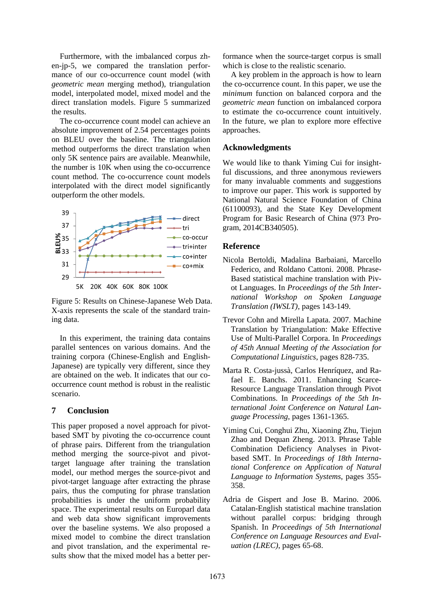Furthermore, with the imbalanced corpus zhen-jp-5, we compared the translation performance of our co-occurrence count model (with *geometric mean* merging method), triangulation model, interpolated model, mixed model and the direct translation models. Figure 5 summarized the results.

The co-occurrence count model can achieve an absolute improvement of 2.54 percentages points on BLEU over the baseline. The triangulation method outperforms the direct translation when only 5K sentence pairs are available. Meanwhile, the number is 10K when using the co-occurrence count method. The co-occurrence count models interpolated with the direct model significantly outperform the other models.



Figure 5: Results on Chinese-Japanese Web Data. X-axis represents the scale of the standard training data.

In this experiment, the training data contains parallel sentences on various domains. And the training corpora (Chinese-English and English-Japanese) are typically very different, since they are obtained on the web. It indicates that our cooccurrence count method is robust in the realistic scenario.

## **7 Conclusion**

This paper proposed a novel approach for pivotbased SMT by pivoting the co-occurrence count of phrase pairs. Different from the triangulation method merging the source-pivot and pivottarget language after training the translation model, our method merges the source-pivot and pivot-target language after extracting the phrase pairs, thus the computing for phrase translation probabilities is under the uniform probability space. The experimental results on Europarl data and web data show significant improvements over the baseline systems. We also proposed a mixed model to combine the direct translation and pivot translation, and the experimental results show that the mixed model has a better per-

formance when the source-target corpus is small which is close to the realistic scenario.

A key problem in the approach is how to learn the co-occurrence count. In this paper, we use the *minimum* function on balanced corpora and the *geometric mean* function on imbalanced corpora to estimate the co-occurrence count intuitively. In the future, we plan to explore more effective approaches.

### **Acknowledgments**

We would like to thank Yiming Cui for insightful discussions, and three anonymous reviewers for many invaluable comments and suggestions to improve our paper. This work is supported by National Natural Science Foundation of China (61100093), and the State Key Development Program for Basic Research of China (973 Program, 2014CB340505).

## **Reference**

- Nicola Bertoldi, Madalina Barbaiani, Marcello Federico, and Roldano Cattoni. 2008. Phrase-Based statistical machine translation with Pivot Languages. In *Proceedings of the 5th International Workshop on Spoken Language Translation (IWSLT)*, pages 143-149.
- Trevor Cohn and Mirella Lapata. 2007. Machine Translation by Triangulation: Make Effective Use of Multi-Parallel Corpora. In *Proceedings of 45th Annual Meeting of the Association for Computational Linguistics*, pages 828-735.
- Marta R. Costa-jussà, Carlos Henríquez, and Rafael E. Banchs. 2011. Enhancing Scarce-Resource Language Translation through Pivot Combinations. In *Proceedings of the 5th International Joint Conference on Natural Language Processing*, pages 1361-1365.
- Yiming Cui, Conghui Zhu, Xiaoning Zhu, Tiejun Zhao and Dequan Zheng. 2013. Phrase Table Combination Deficiency Analyses in Pivotbased SMT. In *Proceedings of 18th International Conference on Application of Natural Language to Information Systems*, pages 355- 358.
- Adria de Gispert and Jose B. Marino. 2006. Catalan-English statistical machine translation without parallel corpus: bridging through Spanish. In *Proceedings of 5th International Conference on Language Resources and Evaluation (LREC)*, pages 65-68.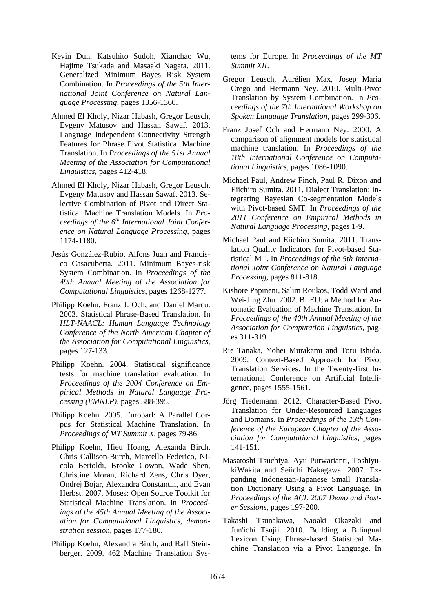- Kevin Duh, Katsuhito Sudoh, Xianchao Wu, Hajime Tsukada and Masaaki Nagata. 2011. Generalized Minimum Bayes Risk System Combination. In *Proceedings of the 5th International Joint Conference on Natural Language Processing*, pages 1356-1360.
- Ahmed El Kholy, Nizar Habash, Gregor Leusch, Evgeny Matusov and Hassan Sawaf. 2013. Language Independent Connectivity Strength Features for Phrase Pivot Statistical Machine Translation. In *Proceedings of the 51st Annual Meeting of the Association for Computational Linguistics,* pages 412-418.
- Ahmed El Kholy, Nizar Habash, Gregor Leusch, Evgeny Matusov and Hassan Sawaf. 2013. Selective Combination of Pivot and Direct Statistical Machine Translation Models. In *Proceedings of the 6th International Joint Conference on Natural Language Processing,* pages 1174-1180.
- Jesús González-Rubio, Alfons Juan and Francisco Casacuberta. 2011. Minimum Bayes-risk System Combination. In *Proceedings of the 49th Annual Meeting of the Association for Computational Linguistics*, pages 1268-1277.
- Philipp Koehn, Franz J. Och, and Daniel Marcu. 2003. Statistical Phrase-Based Translation. In *HLT-NAACL: Human Language Technology Conference of the North American Chapter of the Association for Computational Linguistics*, pages 127-133.
- Philipp Koehn. 2004. Statistical significance tests for machine translation evaluation. In *Proceedings of the 2004 Conference on Empirical Methods in Natural Language Processing (EMNLP)*, pages 388-395.
- Philipp Koehn. 2005. Europarl: A Parallel Corpus for Statistical Machine Translation. In *Proceedings of MT Summit X*, pages 79-86.
- Philipp Koehn, Hieu Hoang, Alexanda Birch, Chris Callison-Burch, Marcello Federico, Nicola Bertoldi, Brooke Cowan, Wade Shen, Christine Moran, Richard Zens, Chris Dyer, Ondrej Bojar, Alexandra Constantin, and Evan Herbst. 2007. Moses: Open Source Toolkit for Statistical Machine Translation. In *Proceedings of the 45th Annual Meeting of the Association for Computational Linguistics, demonstration session,* pages 177-180.
- Philipp Koehn, Alexandra Birch, and Ralf Steinberger. 2009. 462 Machine Translation Sys-

tems for Europe. In *Proceedings of the MT Summit XII*.

- Gregor Leusch, Aurélien Max, Josep Maria Crego and Hermann Ney. 2010. Multi-Pivot Translation by System Combination. In *Proceedings of the 7th International Workshop on Spoken Language Translation*, pages 299-306.
- Franz Josef Och and Hermann Ney. 2000. A comparison of alignment models for statistical machine translation. In *Proceedings of the 18th International Conference on Computational Linguistics,* pages 1086-1090.
- Michael Paul, Andrew Finch, Paul R. Dixon and Eiichiro Sumita. 2011. Dialect Translation: Integrating Bayesian Co-segmentation Models with Pivot-based SMT. In *Proceedings of the 2011 Conference on Empirical Methods in Natural Language Processing*, pages 1-9.
- Michael Paul and Eiichiro Sumita. 2011. Translation Quality Indicators for Pivot-based Statistical MT. In *Proceedings of the 5th International Joint Conference on Natural Language Processing*, pages 811-818.
- Kishore Papineni, Salim Roukos, Todd Ward and Wei-Jing Zhu. 2002. BLEU: a Method for Automatic Evaluation of Machine Translation. In *Proceedings of the 40th Annual Meeting of the Association for Computation Linguistics*, pages 311-319.
- Rie Tanaka, Yohei Murakami and Toru Ishida. 2009. Context-Based Approach for Pivot Translation Services. In the Twenty-first International Conference on Artificial Intelligence, pages 1555-1561.
- Jörg Tiedemann. 2012. Character-Based Pivot Translation for Under-Resourced Languages and Domains. In *Proceedings of the 13th Conference of the European Chapter of the Association for Computational Linguistics*, pages 141-151.
- Masatoshi Tsuchiya, Ayu Purwarianti, ToshiyukiWakita and Seiichi Nakagawa. 2007. Expanding Indonesian-Japanese Small Translation Dictionary Using a Pivot Language. In *Proceedings of the ACL 2007 Demo and Poster Sessions*, pages 197-200.
- Takashi Tsunakawa, Naoaki Okazaki and Jun'ichi Tsujii. 2010. Building a Bilingual Lexicon Using Phrase-based Statistical Machine Translation via a Pivot Language. In